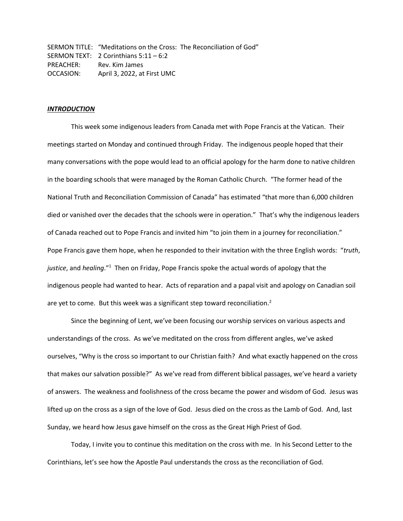SERMON TITLE: "Meditations on the Cross: The Reconciliation of God" SERMON TEXT: 2 Corinthians 5:11 – 6:2 PREACHER: Rev. Kim James OCCASION: April 3, 2022, at First UMC

## *INTRODUCTION*

This week some indigenous leaders from Canada met with Pope Francis at the Vatican. Their meetings started on Monday and continued through Friday. The indigenous people hoped that their many conversations with the pope would lead to an official apology for the harm done to native children in the boarding schools that were managed by the Roman Catholic Church. "The former head of the National Truth and Reconciliation Commission of Canada" has estimated "that more than 6,000 children died or vanished over the decades that the schools were in operation." That's why the indigenous leaders of Canada reached out to Pope Francis and invited him "to join them in a journey for reconciliation." Pope Francis gave them hope, when he responded to their invitation with the three English words: "*truth*, justice, and *healing*."<sup>1</sup> Then on Friday, Pope Francis spoke the actual words of apology that the indigenous people had wanted to hear. Acts of reparation and a papal visit and apology on Canadian soil are yet to come. But this week was a significant step toward reconciliation.<sup>2</sup>

Since the beginning of Lent, we've been focusing our worship services on various aspects and understandings of the cross. As we've meditated on the cross from different angles, we've asked ourselves, "Why is the cross so important to our Christian faith? And what exactly happened on the cross that makes our salvation possible?" As we've read from different biblical passages, we've heard a variety of answers. The weakness and foolishness of the cross became the power and wisdom of God. Jesus was lifted up on the cross as a sign of the love of God. Jesus died on the cross as the Lamb of God. And, last Sunday, we heard how Jesus gave himself on the cross as the Great High Priest of God.

Today, I invite you to continue this meditation on the cross with me. In his Second Letter to the Corinthians, let's see how the Apostle Paul understands the cross as the reconciliation of God.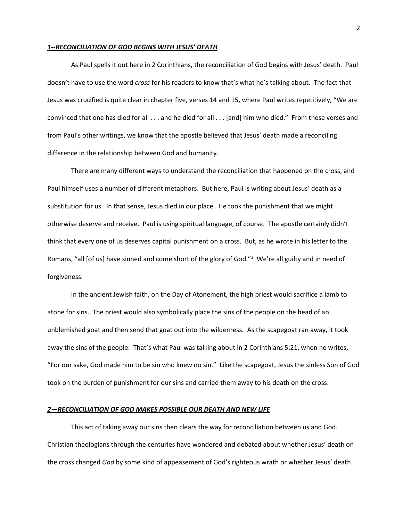### *1--RECONCILIATION OF GOD BEGINS WITH JESUS' DEATH*

As Paul spells it out here in 2 Corinthians, the reconciliation of God begins with Jesus' death. Paul doesn't have to use the word *cross* for his readers to know that's what he's talking about. The fact that Jesus was crucified is quite clear in chapter five, verses 14 and 15, where Paul writes repetitively, "We are convinced that one has died for all . . . and he died for all . . . [and] him who died." From these verses and from Paul's other writings, we know that the apostle believed that Jesus' death made a reconciling difference in the relationship between God and humanity.

There are many different ways to understand the reconciliation that happened on the cross, and Paul himself uses a number of different metaphors. But here, Paul is writing about Jesus' death as a substitution for us. In that sense, Jesus died in our place. He took the punishment that we might otherwise deserve and receive. Paul is using spiritual language, of course. The apostle certainly didn't think that every one of us deserves capital punishment on a cross. But, as he wrote in his letter to the Romans, "all [of us] have sinned and come short of the glory of God."<sup>3</sup> We're all guilty and in need of forgiveness.

In the ancient Jewish faith, on the Day of Atonement, the high priest would sacrifice a lamb to atone for sins. The priest would also symbolically place the sins of the people on the head of an unblemished goat and then send that goat out into the wilderness. As the scapegoat ran away, it took away the sins of the people. That's what Paul was talking about in 2 Corinthians 5:21, when he writes, "For our sake, God made him to be sin who knew no sin." Like the scapegoat, Jesus the sinless Son of God took on the burden of punishment for our sins and carried them away to his death on the cross.

### *2—RECONCILIATION OF GOD MAKES POSSIBLE OUR DEATH AND NEW LIFE*

This act of taking away our sins then clears the way for reconciliation between us and God. Christian theologians through the centuries have wondered and debated about whether Jesus' death on the cross changed *God* by some kind of appeasement of God's righteous wrath or whether Jesus' death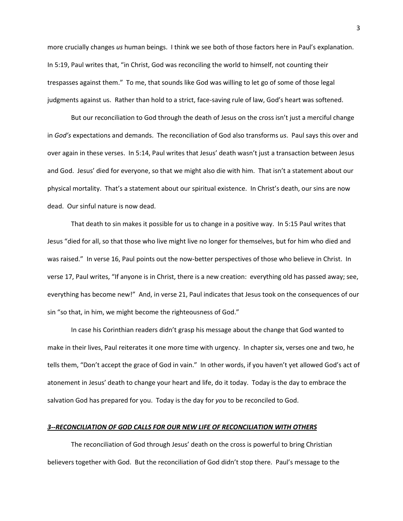more crucially changes *us* human beings. I think we see both of those factors here in Paul's explanation. In 5:19, Paul writes that, "in Christ, God was reconciling the world to himself, not counting their trespasses against them." To me, that sounds like God was willing to let go of some of those legal judgments against us. Rather than hold to a strict, face-saving rule of law, God's heart was softened.

But our reconciliation to God through the death of Jesus on the cross isn't just a merciful change in *God's* expectations and demands. The reconciliation of God also transforms *us*. Paul says this over and over again in these verses. In 5:14, Paul writes that Jesus' death wasn't just a transaction between Jesus and God. Jesus' died for everyone, so that we might also die with him. That isn't a statement about our physical mortality. That's a statement about our spiritual existence. In Christ's death, our sins are now dead. Our sinful nature is now dead.

That death to sin makes it possible for us to change in a positive way. In 5:15 Paul writes that Jesus "died for all, so that those who live might live no longer for themselves, but for him who died and was raised." In verse 16, Paul points out the now-better perspectives of those who believe in Christ. In verse 17, Paul writes, "If anyone is in Christ, there is a new creation: everything old has passed away; see, everything has become new!" And, in verse 21, Paul indicates that Jesus took on the consequences of our sin "so that, in him, we might become the righteousness of God."

In case his Corinthian readers didn't grasp his message about the change that God wanted to make in their lives, Paul reiterates it one more time with urgency. In chapter six, verses one and two, he tells them, "Don't accept the grace of God in vain." In other words, if you haven't yet allowed God's act of atonement in Jesus' death to change your heart and life, do it today. Today is the day to embrace the salvation God has prepared for you. Today is the day for *you* to be reconciled to God.

#### *3--RECONCILIATION OF GOD CALLS FOR OUR NEW LIFE OF RECONCILIATION WITH OTHERS*

The reconciliation of God through Jesus' death on the cross is powerful to bring Christian believers together with God. But the reconciliation of God didn't stop there. Paul's message to the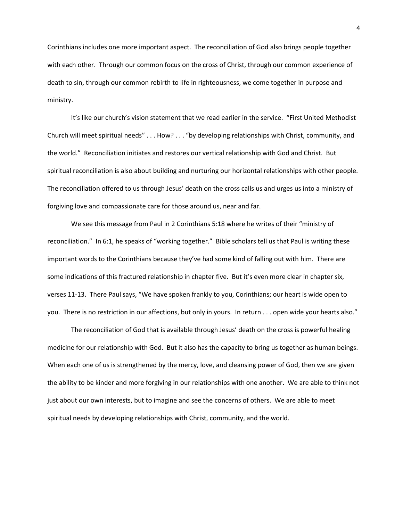Corinthians includes one more important aspect. The reconciliation of God also brings people together with each other. Through our common focus on the cross of Christ, through our common experience of death to sin, through our common rebirth to life in righteousness, we come together in purpose and ministry.

It's like our church's vision statement that we read earlier in the service. "First United Methodist Church will meet spiritual needs" . . . How? . . . "by developing relationships with Christ, community, and the world." Reconciliation initiates and restores our vertical relationship with God and Christ. But spiritual reconciliation is also about building and nurturing our horizontal relationships with other people. The reconciliation offered to us through Jesus' death on the cross calls us and urges us into a ministry of forgiving love and compassionate care for those around us, near and far.

We see this message from Paul in 2 Corinthians 5:18 where he writes of their "ministry of reconciliation." In 6:1, he speaks of "working together." Bible scholars tell us that Paul is writing these important words to the Corinthians because they've had some kind of falling out with him. There are some indications of this fractured relationship in chapter five. But it's even more clear in chapter six, verses 11-13. There Paul says, "We have spoken frankly to you, Corinthians; our heart is wide open to you. There is no restriction in our affections, but only in yours. In return . . . open wide your hearts also."

The reconciliation of God that is available through Jesus' death on the cross is powerful healing medicine for our relationship with God. But it also has the capacity to bring us together as human beings. When each one of us is strengthened by the mercy, love, and cleansing power of God, then we are given the ability to be kinder and more forgiving in our relationships with one another. We are able to think not just about our own interests, but to imagine and see the concerns of others. We are able to meet spiritual needs by developing relationships with Christ, community, and the world.